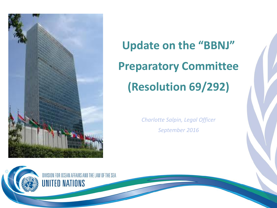

# **Update on the "BBNJ" Preparatory Committee (Resolution 69/292)**

*Charlotte Salpin, Legal Officer September 2016*

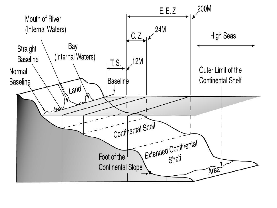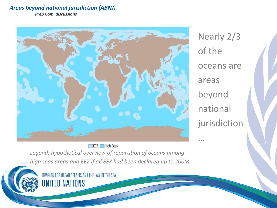#### *Areas beyond national jurisdiction (ABNJ)*

*Prep Com discussions*



Nearly 2/3 of the oceans are areas beyond national jurisdiction

…

**EX** High Seas

*Legend: hypothetical overview of repartition of oceans among high seas areas and EEZ if all EEZ had been declared up to 200M* 

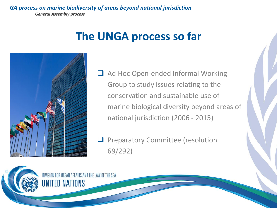*GA process on marine biodiversity of areas beyond national jurisdiction*

*General Assembly process*

#### **The UNGA process so far**



 $\Box$  Ad Hoc Open-ended Informal Working Group to study issues relating to the conservation and sustainable use of marine biological diversity beyond areas of national jurisdiction (2006 - 2015)

 $\Box$  Preparatory Committee (resolution 69/292)

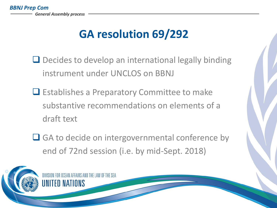#### **GA resolution 69/292**

- $\Box$  Decides to develop an international legally binding instrument under UNCLOS on BBNJ
- $\Box$  Establishes a Preparatory Committee to make substantive recommendations on elements of a draft text
- $\Box$  GA to decide on intergovernmental conference by end of 72nd session (i.e. by mid-Sept. 2018)

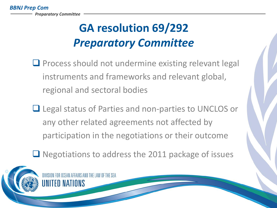## **GA resolution 69/292** *Preparatory Committee*

- $\Box$  Process should not undermine existing relevant legal instruments and frameworks and relevant global, regional and sectoral bodies
- Legal status of Parties and non-parties to UNCLOS or any other related agreements not affected by participation in the negotiations or their outcome
- $\Box$  Negotiations to address the 2011 package of issues

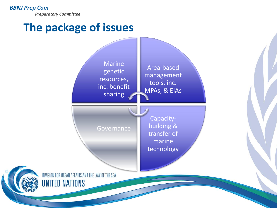#### *BBNJ Prep Com*

*Preparatory Committee*

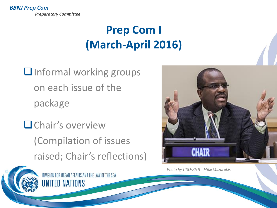*BBNJ Prep Com Preparatory Committee*

### **Prep Com I (March-April 2016)**

- $\Box$  Informal working groups on each issue of the package
- **O** Chair's overview (Compilation of issues raised; Chair's reflections)



DIVISION FOR OCEAN AFFAIRS AND THE LAW OF THE SEA **INITED NATIONS** 



*Photo by IISD/ENB | Mike Muzurakis*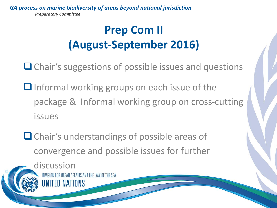*GA process on marine biodiversity of areas beyond national jurisdiction*

*Preparatory Committee*

### **Prep Com II (August-September 2016)**

 $\Box$  Chair's suggestions of possible issues and questions

- $\Box$  Informal working groups on each issue of the package & Informal working group on cross-cutting issues
- Chair's understandings of possible areas of convergence and possible issues for further

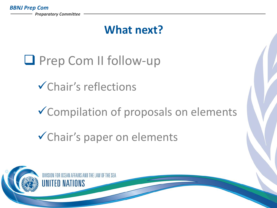*BBNJ Prep Com Preparatory Committee*

### **What next?**

## **Q** Prep Com II follow-up

- Chair's reflections
- Compilation of proposals on elements
- Chair's paper on elements

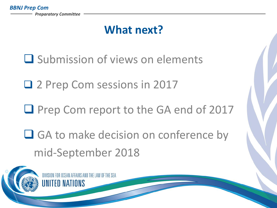#### **What next?**

 $\square$  Submission of views on elements

□ 2 Prep Com sessions in 2017

**Q** Prep Com report to the GA end of 2017

**□ GA to make decision on conference by** mid-September 2018